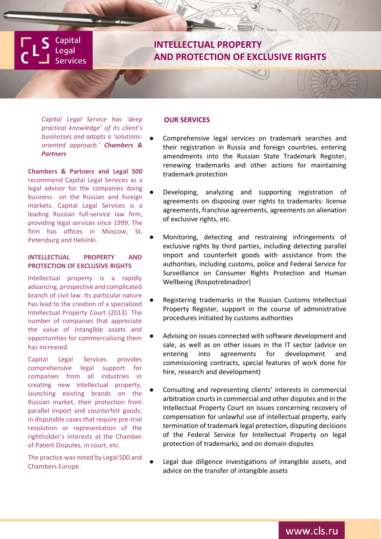**Capital** Legal **Services** 

# **INTELLECTUAL PROPERTY AND PROTECTION OF EXCLUSIVE RIGHTS**

*Capital Legal Service has 'deep practical knowledge' of its client's businesses and adopts a 'solutionsoriented approach.' Chambers & Partners*

**Chambers & Partners and Legal 500** recommend Capital Legal Services as a legal advisor for the companies doing business on the Russian and foreign markets. Capital Legal Services is a leading Russian full-service law firm, providing legal services since 1999. The firm has offices in Moscow, St. Petersburg and Helsinki.

## **INTELLECTUAL PROPERTY AND PROTECTION OF EXCLUSIVE RIGHTS**

Intellectual property is a rapidly advancing, prospective and complicated branch of civil law. Its particular nature has lead to the creation of a specialized Intellectual Property Court (2013). The number of companies that appreciate the value of intangible assets and opportunities for commercializing them has increased.

Capital Legal Services provides comprehensive legal support for companies from all industries in creating new intellectual property, launching existing brands on the Russian market, their protection from parallel import and counterfeit goods; in disputable cases that require pre-trial resolution or representation of the rightholder's interests at the Chamber of Patent Disputes, in court, etc.

The practice was noted by Legal 500 and Chambers Europe.

### **OUR SERVICES**

- Comprehensive legal services on trademark searches and their registration in Russia and foreign countries, entering amendments into the Russian State Trademark Register, renewing trademarks and other actions for maintaining trademark protection
- Developing, analyzing and supporting registration of agreements on disposing over rights to trademarks: license agreements, franchise agreements, agreements on alienation of exclusive rights, etc.
- Monitoring, detecting and restraining infringements of exclusive rights by third parties, including detecting parallel import and counterfeit goods with assistance from the authorities, including customs, police and Federal Service for Surveillance on Consumer Rights Protection and Human Wellbeing (Rospotrebnadzor)
- Registering trademarks in the Russian Customs Intellectual Property Register, support in the course of administrative procedures initiated by customs authorities
- Advising on issues connected with software development and sale, as well as on other issues in the IT sector (advice on entering into agreements for development and commissioning contracts, special features of work done for hire, research and development)
- Consulting and representing clients' interests in commercial arbitration courts in commercial and other disputes and in the Intellectual Property Court on issues concerning recovery of compensation for unlawful use of intellectual property, early termination of trademark legal protection, disputing decisions of the Federal Service for Intellectual Property on legal protection of trademarks, and on domain disputes
- Legal due diligence investigations of intangible assets, and advice on the transfer of intangible assets